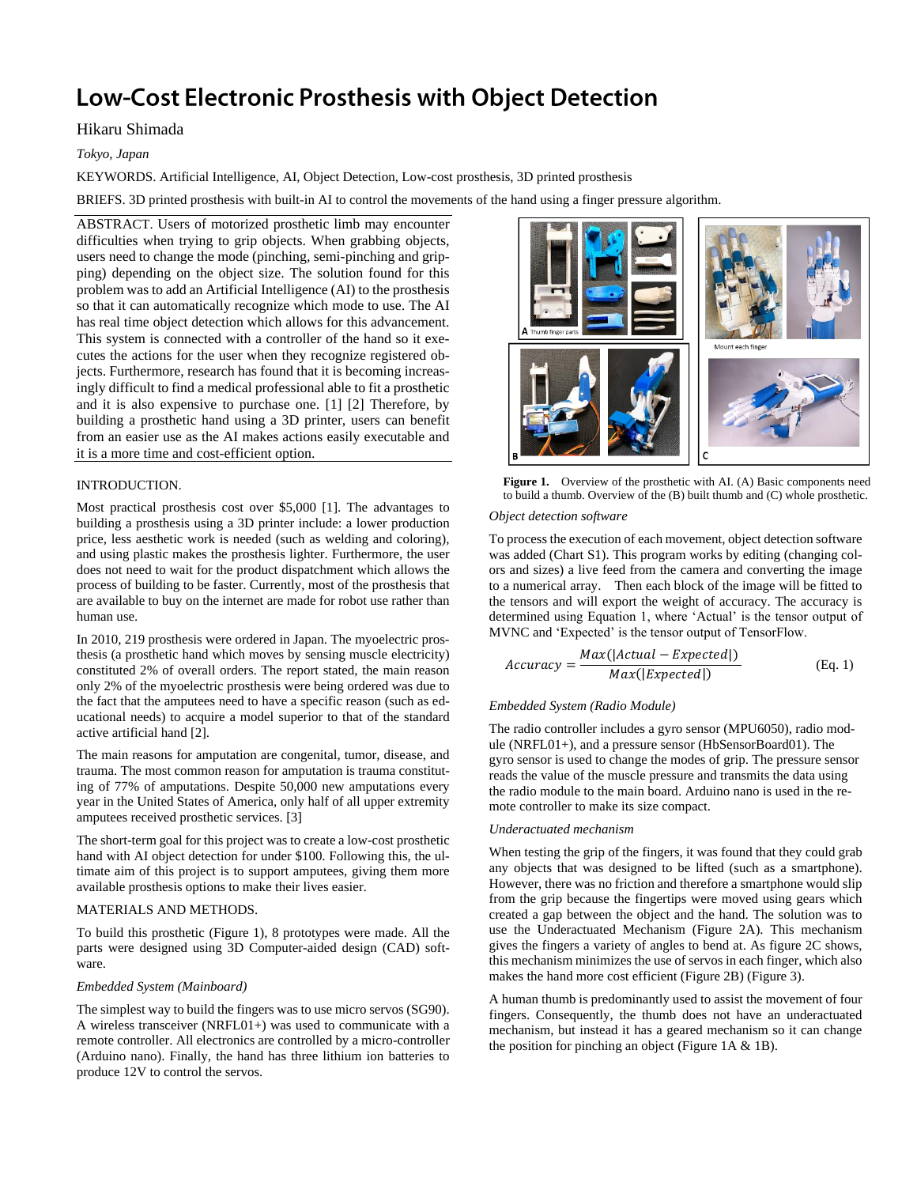# **Low-Cost Electronic Prosthesis with Object Detection**

## Hikaru Shimada

*Tokyo, Japan*

KEYWORDS. Artificial Intelligence, AI, Object Detection, Low-cost prosthesis, 3D printed prosthesis

BRIEFS. 3D printed prosthesis with built-in AI to control the movements of the hand using a finger pressure algorithm.

ABSTRACT. Users of motorized prosthetic limb may encounter difficulties when trying to grip objects. When grabbing objects, users need to change the mode (pinching, semi-pinching and gripping) depending on the object size. The solution found for this problem was to add an Artificial Intelligence (AI) to the prosthesis so that it can automatically recognize which mode to use. The AI has real time object detection which allows for this advancement. This system is connected with a controller of the hand so it executes the actions for the user when they recognize registered objects. Furthermore, research has found that it is becoming increasingly difficult to find a medical professional able to fit a prosthetic and it is also expensive to purchase one. [1] [2] Therefore, by building a prosthetic hand using a 3D printer, users can benefit from an easier use as the AI makes actions easily executable and it is a more time and cost-efficient option.

## INTRODUCTION.

Most practical prosthesis cost over \$5,000 [1]. The advantages to building a prosthesis using a 3D printer include: a lower production price, less aesthetic work is needed (such as welding and coloring), and using plastic makes the prosthesis lighter. Furthermore, the user does not need to wait for the product dispatchment which allows the process of building to be faster. Currently, most of the prosthesis that are available to buy on the internet are made for robot use rather than human use.

In 2010, 219 prosthesis were ordered in Japan. The myoelectric prosthesis (a prosthetic hand which moves by sensing muscle electricity) constituted 2% of overall orders. The report stated, the main reason only 2% of the myoelectric prosthesis were being ordered was due to the fact that the amputees need to have a specific reason (such as educational needs) to acquire a model superior to that of the standard active artificial hand [2].

The main reasons for amputation are congenital, tumor, disease, and trauma. The most common reason for amputation is trauma constituting of 77% of amputations. Despite 50,000 new amputations every year in the United States of America, only half of all upper extremity amputees received prosthetic services. [3]

The short-term goal for this project was to create a low-cost prosthetic hand with AI object detection for under \$100. Following this, the ultimate aim of this project is to support amputees, giving them more available prosthesis options to make their lives easier.

## MATERIALS AND METHODS.

To build this prosthetic (Figure 1), 8 prototypes were made. All the parts were designed using 3D Computer-aided design (CAD) software.

## *Embedded System (Mainboard)*

The simplest way to build the fingers was to use micro servos (SG90). A wireless transceiver (NRFL01+) was used to communicate with a remote controller. All electronics are controlled by a micro-controller (Arduino nano). Finally, the hand has three lithium ion batteries to produce 12V to control the servos.



Figure 1. Overview of the prosthetic with AI. (A) Basic components need to build a thumb. Overview of the (B) built thumb and (C) whole prosthetic.

## *Object detection software*

To process the execution of each movement, object detection software was added (Chart S1). This program works by editing (changing colors and sizes) a live feed from the camera and converting the image to a numerical array. Then each block of the image will be fitted to the tensors and will export the weight of accuracy. The accuracy is determined using Equation 1, where 'Actual' is the tensor output of MVNC and 'Expected' is the tensor output of TensorFlow.

$$
Accuracy = \frac{Max(|Actual - Expected|)}{Max(|Expected|)}
$$
 (Eq. 1)

#### *Embedded System (Radio Module)*

The radio controller includes a gyro sensor (MPU6050), radio module (NRFL01+), and a pressure sensor (HbSensorBoard01). The gyro sensor is used to change the modes of grip. The pressure sensor reads the value of the muscle pressure and transmits the data using the radio module to the main board. Arduino nano is used in the remote controller to make its size compact.

## *Underactuated mechanism*

When testing the grip of the fingers, it was found that they could grab any objects that was designed to be lifted (such as a smartphone). However, there was no friction and therefore a smartphone would slip from the grip because the fingertips were moved using gears which created a gap between the object and the hand. The solution was to use the Underactuated Mechanism (Figure 2A). This mechanism gives the fingers a variety of angles to bend at. As figure 2C shows, this mechanism minimizes the use of servos in each finger, which also makes the hand more cost efficient (Figure 2B) (Figure 3).

A human thumb is predominantly used to assist the movement of four fingers. Consequently, the thumb does not have an underactuated mechanism, but instead it has a geared mechanism so it can change the position for pinching an object (Figure 1A & 1B).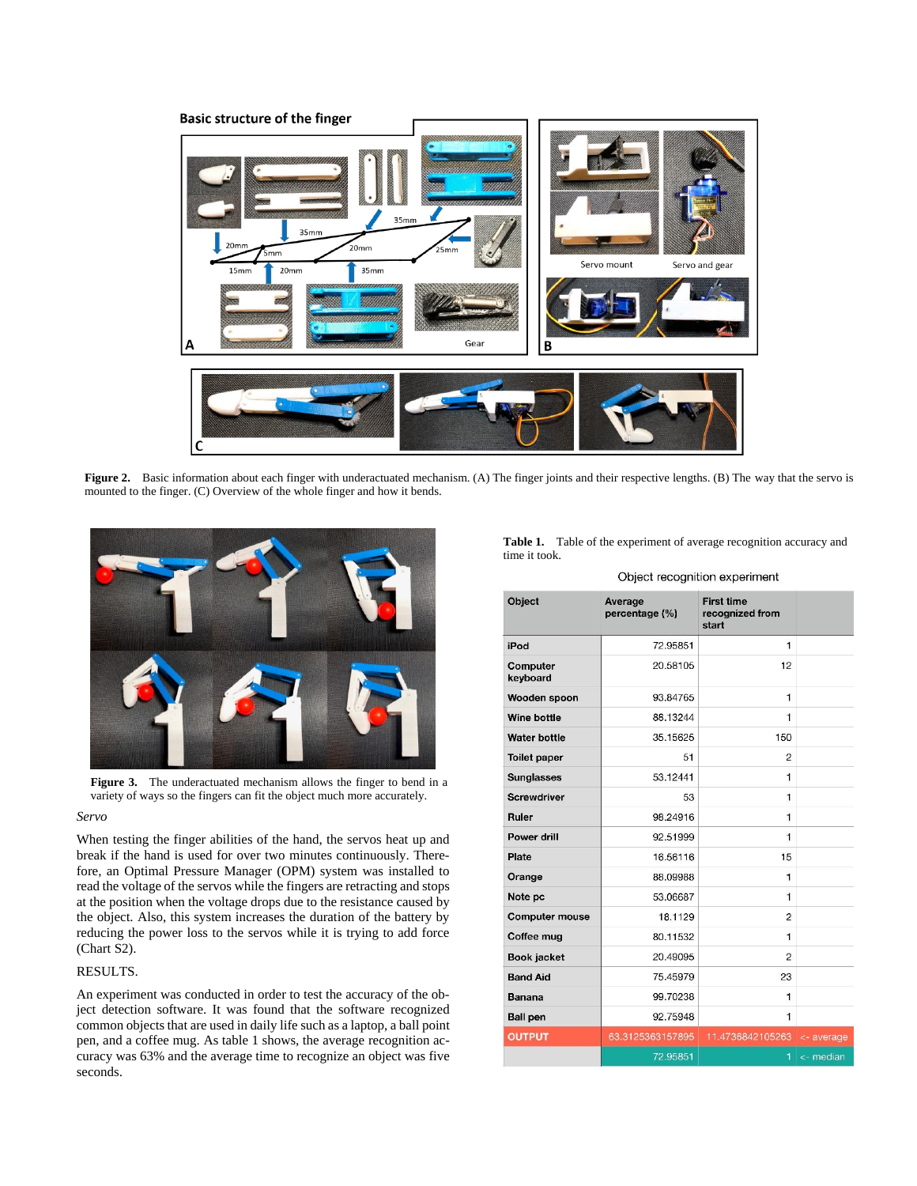

**Figure 2.** Basic information about each finger with underactuated mechanism. (A) The finger joints and their respective lengths. (B) The way that the servo is mounted to the finger. (C) Overview of the whole finger and how it bends.



**Figure 3.** The underactuated mechanism allows the finger to bend in a variety of ways so the fingers can fit the object much more accurately.

#### *Servo*

When testing the finger abilities of the hand, the servos heat up and break if the hand is used for over two minutes continuously. Therefore, an Optimal Pressure Manager (OPM) system was installed to read the voltage of the servos while the fingers are retracting and stops at the position when the voltage drops due to the resistance caused by the object. Also, this system increases the duration of the battery by reducing the power loss to the servos while it is trying to add force (Chart S2).

## RESULTS.

An experiment was conducted in order to test the accuracy of the object detection software. It was found that the software recognized common objects that are used in daily life such as a laptop, a ball point pen, and a coffee mug. As table 1 shows, the average recognition accuracy was 63% and the average time to recognize an object was five seconds.

Table 1. Table of the experiment of average recognition accuracy and time it took.

Object recognition experiment

| Object                | Average<br>percentage (%) | <b>First time</b><br>recognized from<br>start |                 |
|-----------------------|---------------------------|-----------------------------------------------|-----------------|
| iPod                  | 72.95851                  | $\mathbf{1}$                                  |                 |
| Computer<br>keyboard  | 20.58105                  | 12                                            |                 |
| Wooden spoon          | 93.84765                  | 1                                             |                 |
| Wine bottle           | 88.13244                  | $\mathbf{1}$                                  |                 |
| <b>Water bottle</b>   | 35.15625                  | 150                                           |                 |
| <b>Toilet paper</b>   | 51                        | $\overline{2}$                                |                 |
| <b>Sunglasses</b>     | 53.12441                  | $\mathbf{1}$                                  |                 |
| <b>Screwdriver</b>    | 53                        | 1                                             |                 |
| Ruler                 | 98.24916                  | $\mathbf{1}$                                  |                 |
| Power drill           | 92.51999                  | $\mathbf{1}$                                  |                 |
| Plate                 | 16.56116                  | 15                                            |                 |
| Orange                | 88.09988                  | $\mathbf{1}$                                  |                 |
| Note pc               | 53.06687                  | 1                                             |                 |
| <b>Computer mouse</b> | 18.1129                   | 2                                             |                 |
| Coffee mug            | 80.11532                  | $\mathbf{1}$                                  |                 |
| <b>Book jacket</b>    | 20.49095                  | $\overline{c}$                                |                 |
| <b>Band Aid</b>       | 75.45979                  | 23                                            |                 |
| <b>Banana</b>         | 99.70238                  | 1                                             |                 |
| <b>Ball pen</b>       | 92.75948                  | 1                                             |                 |
| <b>OUTPUT</b>         | 63.3125363157895          | 11.4736842105263 <- average                   |                 |
|                       | 72.95851                  | 1                                             | $\leq$ - median |